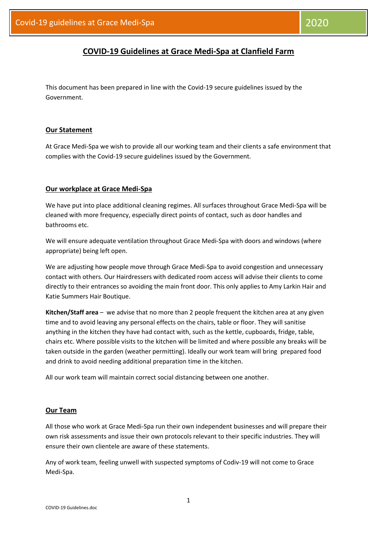# **COVID-19 Guidelines at Grace Medi-Spa at Clanfield Farm**

This document has been prepared in line with the Covid-19 secure guidelines issued by the Government.

#### **Our Statement**

At Grace Medi-Spa we wish to provide all our working team and their clients a safe environment that complies with the Covid-19 secure guidelines issued by the Government.

### **Our workplace at Grace Medi-Spa**

We have put into place additional cleaning regimes. All surfaces throughout Grace Medi-Spa will be cleaned with more frequency, especially direct points of contact, such as door handles and bathrooms etc.

We will ensure adequate ventilation throughout Grace Medi-Spa with doors and windows (where appropriate) being left open.

We are adjusting how people move through Grace Medi-Spa to avoid congestion and unnecessary contact with others. Our Hairdressers with dedicated room access will advise their clients to come directly to their entrances so avoiding the main front door. This only applies to Amy Larkin Hair and Katie Summers Hair Boutique.

**Kitchen/Staff area** – we advise that no more than 2 people frequent the kitchen area at any given time and to avoid leaving any personal effects on the chairs, table or floor. They will sanitise anything in the kitchen they have had contact with, such as the kettle, cupboards, fridge, table, chairs etc. Where possible visits to the kitchen will be limited and where possible any breaks will be taken outside in the garden (weather permitting). Ideally our work team will bring prepared food and drink to avoid needing additional preparation time in the kitchen.

All our work team will maintain correct social distancing between one another.

#### **Our Team**

All those who work at Grace Medi-Spa run their own independent businesses and will prepare their own risk assessments and issue their own protocols relevant to their specific industries. They will ensure their own clientele are aware of these statements.

Any of work team, feeling unwell with suspected symptoms of Codiv-19 will not come to Grace Medi-Spa.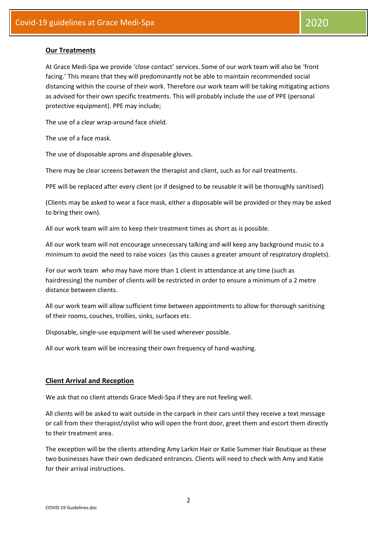## **Our Treatments**

At Grace Medi-Spa we provide 'close contact' services. Some of our work team will also be 'front facing.' This means that they will predominantly not be able to maintain recommended social distancing within the course of their work. Therefore our work team will be taking mitigating actions as advised for their own specific treatments. This will probably include the use of PPE (personal protective equipment). PPE may include;

The use of a clear wrap-around face shield.

The use of a face mask.

The use of disposable aprons and disposable gloves.

There may be clear screens between the therapist and client, such as for nail treatments.

PPE will be replaced after every client (or if designed to be reusable it will be thoroughly sanitised)

(Clients may be asked to wear a face mask, either a disposable will be provided or they may be asked to bring their own).

All our work team will aim to keep their treatment times as short as is possible.

All our work team will not encourage unnecessary talking and will keep any background music to a minimum to avoid the need to raise voices (as this causes a greater amount of respiratory droplets).

For our work team who may have more than 1 client in attendance at any time (such as hairdressing) the number of clients will be restricted in order to ensure a minimum of a 2 metre distance between clients.

All our work team will allow sufficient time between appointments to allow for thorough sanitising of their rooms, couches, trollies, sinks, surfaces etc.

Disposable, single-use equipment will be used wherever possible.

All our work team will be increasing their own frequency of hand-washing.

#### **Client Arrival and Reception**

We ask that no client attends Grace Medi-Spa if they are not feeling well.

All clients will be asked to wait outside in the carpark in their cars until they receive a text message or call from their therapist/stylist who will open the front door, greet them and escort them directly to their treatment area.

The exception will be the clients attending Amy Larkin Hair or Katie Summer Hair Boutique as these two businesses have their own dedicated entrances. Clients will need to check with Amy and Katie for their arrival instructions.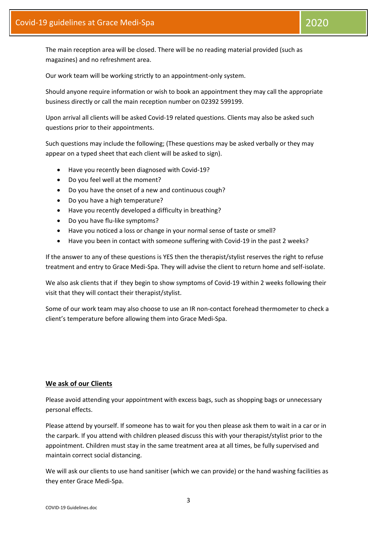The main reception area will be closed. There will be no reading material provided (such as magazines) and no refreshment area.

Our work team will be working strictly to an appointment-only system.

Should anyone require information or wish to book an appointment they may call the appropriate business directly or call the main reception number on 02392 599199.

Upon arrival all clients will be asked Covid-19 related questions. Clients may also be asked such questions prior to their appointments.

Such questions may include the following; (These questions may be asked verbally or they may appear on a typed sheet that each client will be asked to sign).

- Have you recently been diagnosed with Covid-19?
- Do you feel well at the moment?
- Do you have the onset of a new and continuous cough?
- Do you have a high temperature?
- Have you recently developed a difficulty in breathing?
- Do you have flu-like symptoms?
- Have you noticed a loss or change in your normal sense of taste or smell?
- Have you been in contact with someone suffering with Covid-19 in the past 2 weeks?

If the answer to any of these questions is YES then the therapist/stylist reserves the right to refuse treatment and entry to Grace Medi-Spa. They will advise the client to return home and self-isolate.

We also ask clients that if they begin to show symptoms of Covid-19 within 2 weeks following their visit that they will contact their therapist/stylist.

Some of our work team may also choose to use an IR non-contact forehead thermometer to check a client's temperature before allowing them into Grace Medi-Spa.

## **We ask of our Clients**

Please avoid attending your appointment with excess bags, such as shopping bags or unnecessary personal effects.

Please attend by yourself. If someone has to wait for you then please ask them to wait in a car or in the carpark. If you attend with children pleased discuss this with your therapist/stylist prior to the appointment. Children must stay in the same treatment area at all times, be fully supervised and maintain correct social distancing.

We will ask our clients to use hand sanitiser (which we can provide) or the hand washing facilities as they enter Grace Medi-Spa.